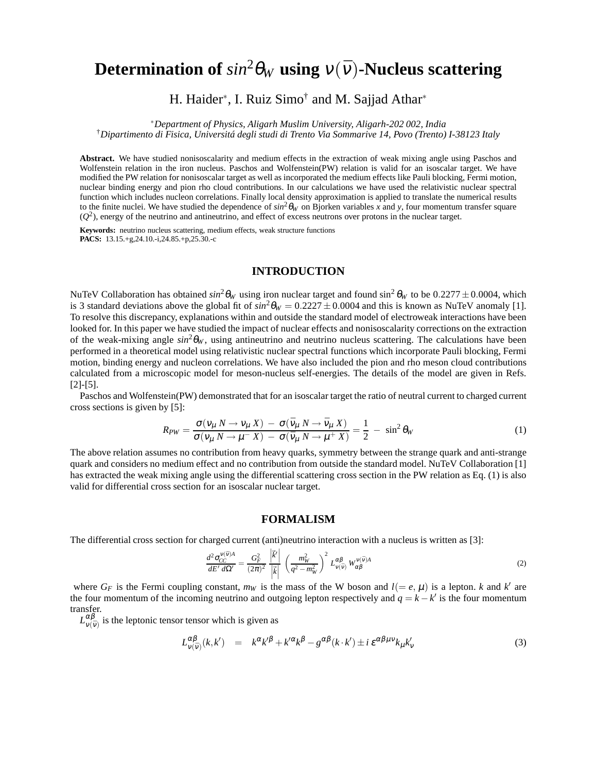# **Determination of**  $sin^2\theta_W$  **using**  $v(\bar{v})$ -Nucleus scattering

H. Haider<sup>∗</sup>, I. Ruiz Simo<sup>†</sup> and M. Sajjad Athar<sup>∗</sup>

<sup>∗</sup>*Department of Physics, Aligarh Muslim University, Aligarh-202 002, India*

†*Dipartimento di Fisica, Universitá degli studi di Trento Via Sommarive 14, Povo (Trento) I-38123 Italy*

**Abstract.** We have studied nonisoscalarity and medium effects in the extraction of weak mixing angle using Paschos and Wolfenstein relation in the iron nucleus. Paschos and Wolfenstein(PW) relation is valid for an isoscalar target. We have modified the PW relation for nonisoscalar target as well as incorporated the medium effects like Pauli blocking, Fermi motion, nuclear binding energy and pion rho cloud contributions. In our calculations we have used the relativistic nuclear spectral function which includes nucleon correlations. Finally local density approximation is applied to translate the numerical results to the finite nuclei. We have studied the dependence of  $sin^2 \theta_W$  on Bjorken variables x and y, four momentum transfer square  $(Q<sup>2</sup>)$ , energy of the neutrino and antineutrino, and effect of excess neutrons over protons in the nuclear target.

**Keywords:** neutrino nucleus scattering, medium effects, weak structure functions **PACS:** 13.15.+g,24.10.-i,24.85.+p,25.30.-c

### **INTRODUCTION**

NuTeV Collaboration has obtained  $sin^2\theta_W$  using iron nuclear target and found  $sin^2\theta_W$  to be  $0.2277 \pm 0.0004$ , which is 3 standard deviations above the global fit of  $sin^2\theta_W = 0.2227 \pm 0.0004$  and this is known as NuTeV anomaly [1]. To resolve this discrepancy, explanations within and outside the standard model of electroweak interactions have been looked for. In this paper we have studied the impact of nuclear effects and nonisoscalarity corrections on the extraction of the weak-mixing angle  $sin^2\theta_W$ , using antineutrino and neutrino nucleus scattering. The calculations have been performed in a theoretical model using relativistic nuclear spectral functions which incorporate Pauli blocking, Fermi motion, binding energy and nucleon correlations. We have also included the pion and rho meson cloud contributions calculated from a microscopic model for meson-nucleus self-energies. The details of the model are given in Refs. [2]-[5].

Paschos and Wolfenstein(PW) demonstrated that for an isoscalar target the ratio of neutral current to charged current cross sections is given by [5]:

$$
R_{PW} = \frac{\sigma(v_{\mu} N \to v_{\mu} X) - \sigma(\bar{v}_{\mu} N \to \bar{v}_{\mu} X)}{\sigma(v_{\mu} N \to \mu^{-} X) - \sigma(\bar{v}_{\mu} N \to \mu^{+} X)} = \frac{1}{2} - \sin^{2} \theta_{W}
$$
(1)

The above relation assumes no contribution from heavy quarks, symmetry between the strange quark and anti-strange quark and considers no medium effect and no contribution from outside the standard model. NuTeV Collaboration [1] has extracted the weak mixing angle using the differential scattering cross section in the PW relation as Eq. (1) is also valid for differential cross section for an isoscalar nuclear target.

#### **FORMALISM**

The differential cross section for charged current (anti)neutrino interaction with a nucleus is written as [3]:

$$
\frac{d^2 \sigma_{CC}^{V(\bar{v})A}}{dE' d\Omega'} = \frac{G_F^2}{(2\pi)^2} \frac{\left|\vec{k}'\right|}{\left|\vec{k}\right|} \left(\frac{m_W^2}{q^2 - m_W^2}\right)^2 L_{V(\bar{v})}^{\alpha\beta} W_{\alpha\beta}^{V(\bar{v})A} \tag{2}
$$

where  $G_F$  is the Fermi coupling constant,  $m_W$  is the mass of the W boson and  $l (= e, \mu)$  is a lepton. *k* and *k'* are the four momentum of the incoming neutrino and outgoing lepton respectively and  $q = k - k'$  is the four momentum transfer.

 $L^{\alpha\beta}_{\nu(\bar{\nu})}$  is the leptonic tensor tensor which is given as

$$
L_{V(\bar{V})}^{\alpha\beta}(k,k') = k^{\alpha}k'^{\beta} + k'^{\alpha}k^{\beta} - g^{\alpha\beta}(k\cdot k') \pm i\,\varepsilon^{\alpha\beta\mu\nu}k_{\mu}k'_{\nu}
$$
\n(3)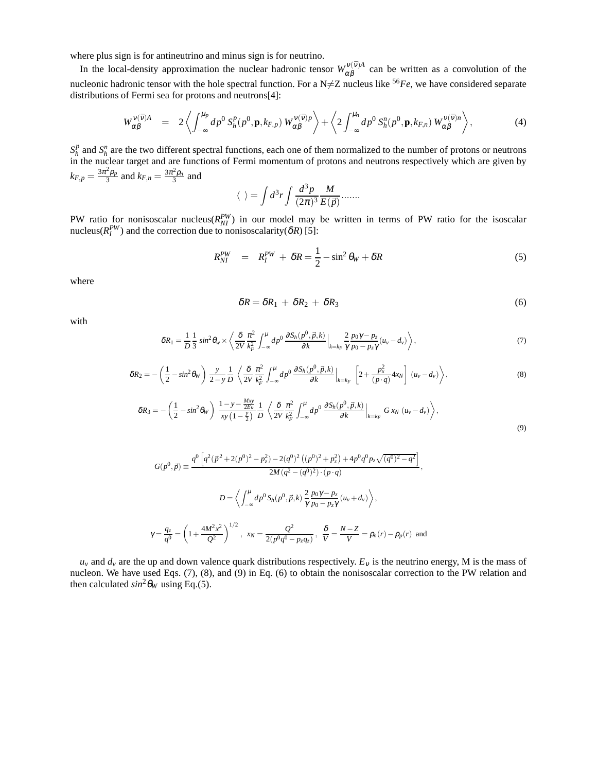where plus sign is for antineutrino and minus sign is for neutrino.

In the local-density approximation the nuclear hadronic tensor  $W_{\alpha}^{\nu(\bar{\nu})A}$  $\alpha \beta$  can be written as a convolution of the nucleonic hadronic tensor with the hole spectral function. For a  $N \neq Z$  nucleus like <sup>56</sup>*Fe*, we have considered separate distributions of Fermi sea for protons and neutrons[4]:

$$
W_{\alpha\beta}^{\nu(\bar{\nu})A} = 2\left\langle \int_{-\infty}^{\mu_p} dp^0 S_h^p(p^0, \mathbf{p}, k_{F,p}) W_{\alpha\beta}^{\nu(\bar{\nu})p} \right\rangle + \left\langle 2 \int_{-\infty}^{\mu_n} dp^0 S_h^n(p^0, \mathbf{p}, k_{F,n}) W_{\alpha\beta}^{\nu(\bar{\nu})n} \right\rangle, \tag{4}
$$

*S p*  $h$ <sup>*h*</sup> and  $S_h^n$  are the two different spectral functions, each one of them normalized to the number of protons or neutrons in the nuclear target and are functions of Fermi momentum of protons and neutrons respectively which are given by  $k_{F,p} = \frac{3\pi^2 \rho_p}{3}$  and  $k_{F,n} = \frac{3\pi^2 \rho_n}{3}$  and

$$
\langle \ \rangle = \int d^3r \int \frac{d^3p}{(2\pi)^3} \frac{M}{E(\vec{p})} \dots
$$

PW ratio for nonisoscalar nucleus( $R_{NI}^{PW}$ ) in our model may be written in terms of PW ratio for the isoscalar nucleus( $R_I^{PW}$ ) and the correction due to nonisoscalarity( $\delta R$ ) [5]:

$$
R_{NI}^{PW} = R_I^{PW} + \delta R = \frac{1}{2} - \sin^2 \theta_W + \delta R \tag{5}
$$

where

$$
\delta R = \delta R_1 + \delta R_2 + \delta R_3 \tag{6}
$$

with

$$
\delta R_1 = \frac{1}{D} \frac{1}{3} \sin^2 \theta_w \times \left\langle \frac{\delta}{2V} \frac{\pi^2}{k_F^2} \int_{-\infty}^{\mu} dp^0 \, \frac{\partial S_h(p^0, \vec{p}, k)}{\partial k} \Big|_{k=k_F} \frac{2}{\gamma} \frac{p_0 \gamma - p_z}{p_0 - p_z \gamma} (u_v - d_v) \right\rangle, \tag{7}
$$

$$
\delta R_2 = -\left(\frac{1}{2} - \sin^2\theta_W\right) \frac{y}{2-y} \frac{1}{D} \left\langle \frac{\delta}{2V} \frac{\pi^2}{k_F^2} \int_{-\infty}^{\mu} dp^0 \frac{\partial S_h(p^0, \vec{p}, k)}{\partial k} \Big|_{k=k_F} \left[2 + \frac{p_x^2}{(p \cdot q)} 4x_N\right] (u_v - d_v) \right\rangle, \tag{8}
$$

$$
\delta R_3 = -\left(\frac{1}{2} - \sin^2\theta_W\right) \frac{1 - y - \frac{Mxy}{2E_v}}{xy\left(1 - \frac{y}{2}\right)} \frac{1}{D} \left\langle \frac{\delta}{2V} \frac{\pi^2}{k_F^2} \int_{-\infty}^{\mu} dp^0 \frac{\partial S_h(p^0, \vec{p}, k)}{\partial k} \Big|_{k = k_F} G x_N \left(u_v - d_v\right) \right\rangle, \tag{9}
$$

$$
G(p^{0}, \vec{p}) \equiv \frac{q^{0} \left[ q^{2} (\vec{p}^{2} + 2(p^{0})^{2} - p_{z}^{2}) - 2(q^{0})^{2} ((p^{0})^{2} + p_{z}^{2}) + 4p^{0} q^{0} p_{z} \sqrt{(q^{0})^{2} - q^{2}} \right]}{2M (q^{2} - (q^{0})^{2}) \cdot (p \cdot q)},
$$

$$
D = \left\langle \int_{-\infty}^{\mu} dp^{0} S_{h}(p^{0}, \vec{p}, k) \frac{2}{\gamma} \frac{p_{0} \gamma - p_{z}}{p_{0} - p_{z} \gamma} (u_{v} + d_{v}) \right\rangle,
$$

$$
\gamma = \frac{q_{z}}{q^{0}} = \left( 1 + \frac{4M^{2} x^{2}}{Q^{2}} \right)^{1/2}, \quad x_{N} = \frac{Q^{2}}{2(p^{0} q^{0} - p_{z} q_{z})}, \quad \frac{\delta}{V} = \frac{N - Z}{V} = \rho_{n}(r) - \rho_{p}(r) \text{ and}
$$

 $u_v$  and  $d_v$  are the up and down valence quark distributions respectively.  $E_v$  is the neutrino energy, M is the mass of nucleon. We have used Eqs. (7), (8), and (9) in Eq. (6) to obtain the nonisoscalar correction to the PW relation and then calculated  $sin^2\theta_W$  using Eq.(5).